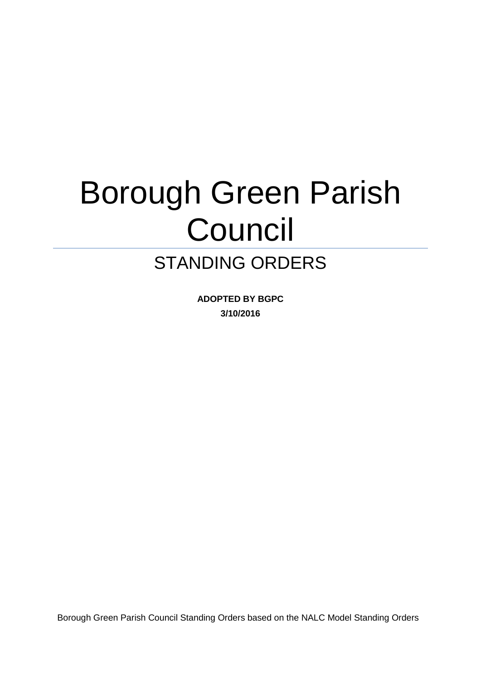# Borough Green Parish Council

# STANDING ORDERS

**ADOPTED BY BGPC 3/10/2016**

Borough Green Parish Council Standing Orders based on the NALC Model Standing Orders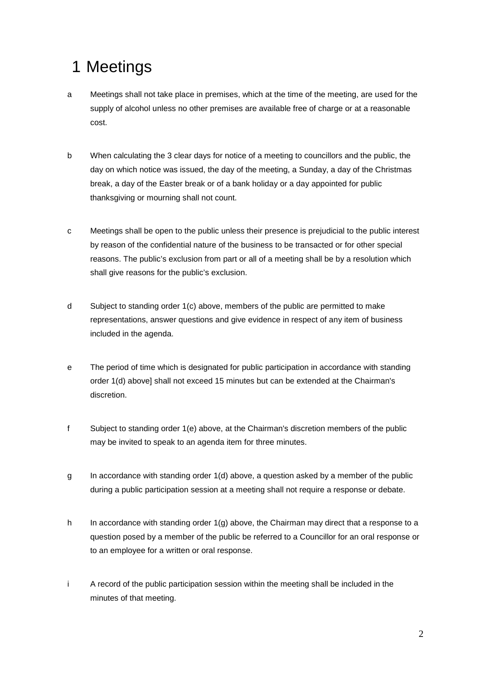# 1 Meetings

- a Meetings shall not take place in premises, which at the time of the meeting, are used for the supply of alcohol unless no other premises are available free of charge or at a reasonable cost.
- b When calculating the 3 clear days for notice of a meeting to councillors and the public, the day on which notice was issued, the day of the meeting, a Sunday, a day of the Christmas break, a day of the Easter break or of a bank holiday or a day appointed for public thanksgiving or mourning shall not count.
- c Meetings shall be open to the public unless their presence is prejudicial to the public interest by reason of the confidential nature of the business to be transacted or for other special reasons. The public's exclusion from part or all of a meeting shall be by a resolution which shall give reasons for the public's exclusion.
- d Subject to standing order 1(c) above, members of the public are permitted to make representations, answer questions and give evidence in respect of any item of business included in the agenda.
- e The period of time which is designated for public participation in accordance with standing order 1(d) above] shall not exceed 15 minutes but can be extended at the Chairman's discretion.
- f Subject to standing order 1(e) above, at the Chairman's discretion members of the public may be invited to speak to an agenda item for three minutes.
- $g$  In accordance with standing order  $1(d)$  above, a question asked by a member of the public during a public participation session at a meeting shall not require a response or debate.
- h In accordance with standing order  $1(g)$  above, the Chairman may direct that a response to a question posed by a member of the public be referred to a Councillor for an oral response or to an employee for a written or oral response.
- i A record of the public participation session within the meeting shall be included in the minutes of that meeting.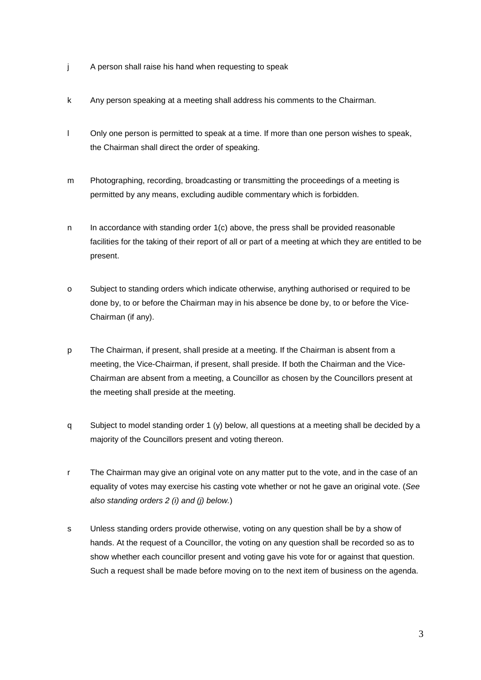- j A person shall raise his hand when requesting to speak
- k Any person speaking at a meeting shall address his comments to the Chairman.
- l Only one person is permitted to speak at a time. If more than one person wishes to speak, the Chairman shall direct the order of speaking.
- m Photographing, recording, broadcasting or transmitting the proceedings of a meeting is permitted by any means, excluding audible commentary which is forbidden.
- n In accordance with standing order  $1(c)$  above, the press shall be provided reasonable facilities for the taking of their report of all or part of a meeting at which they are entitled to be present.
- o Subject to standing orders which indicate otherwise, anything authorised or required to be done by, to or before the Chairman may in his absence be done by, to or before the Vice-Chairman (if any).
- p The Chairman, if present, shall preside at a meeting. If the Chairman is absent from a meeting, the Vice-Chairman, if present, shall preside. If both the Chairman and the Vice-Chairman are absent from a meeting, a Councillor as chosen by the Councillors present at the meeting shall preside at the meeting.
- q Subject to model standing order 1 (y) below, all questions at a meeting shall be decided by a majority of the Councillors present and voting thereon.
- r The Chairman may give an original vote on any matter put to the vote, and in the case of an equality of votes may exercise his casting vote whether or not he gave an original vote. (*See also standing orders 2 (i) and (j) below.*)
- s Unless standing orders provide otherwise, voting on any question shall be by a show of hands. At the request of a Councillor, the voting on any question shall be recorded so as to show whether each councillor present and voting gave his vote for or against that question. Such a request shall be made before moving on to the next item of business on the agenda.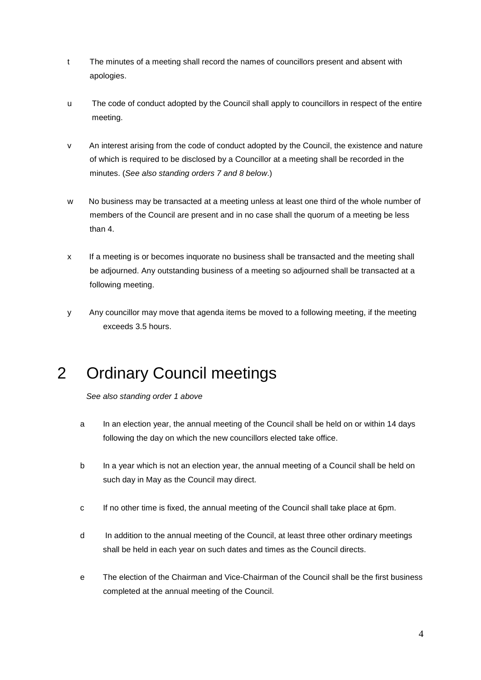- t The minutes of a meeting shall record the names of councillors present and absent with apologies.
- u The code of conduct adopted by the Council shall apply to councillors in respect of the entire meeting.
- v An interest arising from the code of conduct adopted by the Council, the existence and nature of which is required to be disclosed by a Councillor at a meeting shall be recorded in the minutes. (*See also standing orders 7 and 8 below*.)
- w No business may be transacted at a meeting unless at least one third of the whole number of members of the Council are present and in no case shall the quorum of a meeting be less than 4.
- x If a meeting is or becomes inquorate no business shall be transacted and the meeting shall be adjourned. Any outstanding business of a meeting so adjourned shall be transacted at a following meeting.
- y Any councillor may move that agenda items be moved to a following meeting, if the meeting exceeds 3.5 hours.

# 2 Ordinary Council meetings

*See also standing order 1 above*

- a In an election year, the annual meeting of the Council shall be held on or within 14 days following the day on which the new councillors elected take office.
- b In a year which is not an election year, the annual meeting of a Council shall be held on such day in May as the Council may direct.
- c If no other time is fixed, the annual meeting of the Council shall take place at 6pm.
- d In addition to the annual meeting of the Council, at least three other ordinary meetings shall be held in each year on such dates and times as the Council directs.
- e The election of the Chairman and Vice-Chairman of the Council shall be the first business completed at the annual meeting of the Council.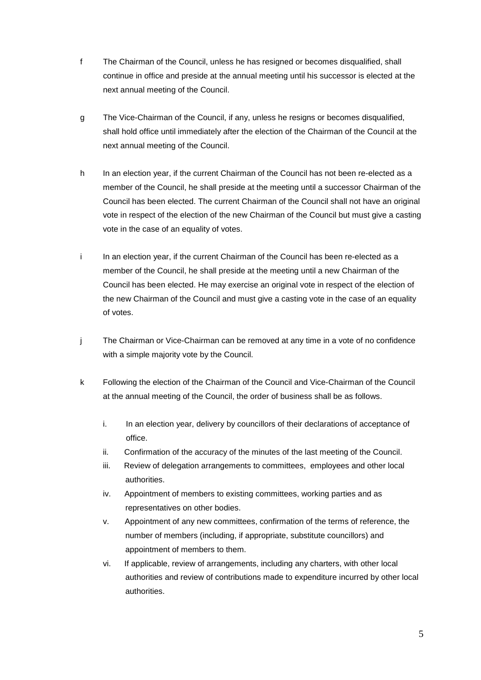- f The Chairman of the Council, unless he has resigned or becomes disqualified, shall continue in office and preside at the annual meeting until his successor is elected at the next annual meeting of the Council.
- g The Vice-Chairman of the Council, if any, unless he resigns or becomes disqualified, shall hold office until immediately after the election of the Chairman of the Council at the next annual meeting of the Council.
- h In an election year, if the current Chairman of the Council has not been re-elected as a member of the Council, he shall preside at the meeting until a successor Chairman of the Council has been elected. The current Chairman of the Council shall not have an original vote in respect of the election of the new Chairman of the Council but must give a casting vote in the case of an equality of votes.
- i In an election year, if the current Chairman of the Council has been re-elected as a member of the Council, he shall preside at the meeting until a new Chairman of the Council has been elected. He may exercise an original vote in respect of the election of the new Chairman of the Council and must give a casting vote in the case of an equality of votes.
- j The Chairman or Vice-Chairman can be removed at any time in a vote of no confidence with a simple majority vote by the Council.
- k Following the election of the Chairman of the Council and Vice-Chairman of the Council at the annual meeting of the Council, the order of business shall be as follows.
	- i. In an election year, delivery by councillors of their declarations of acceptance of office.
	- ii. Confirmation of the accuracy of the minutes of the last meeting of the Council.
	- iii. Review of delegation arrangements to committees, employees and other local authorities.
	- iv. Appointment of members to existing committees, working parties and as representatives on other bodies.
	- v. Appointment of any new committees, confirmation of the terms of reference, the number of members (including, if appropriate, substitute councillors) and appointment of members to them.
	- vi. If applicable, review of arrangements, including any charters, with other local authorities and review of contributions made to expenditure incurred by other local authorities.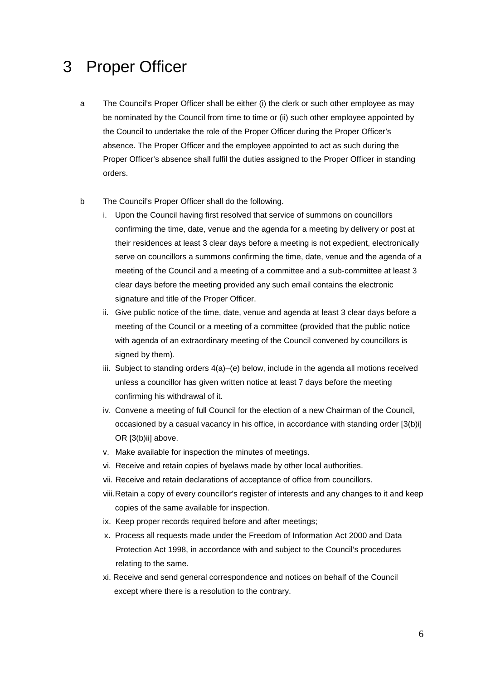#### 3 Proper Officer

a The Council's Proper Officer shall be either (i) the clerk or such other employee as may be nominated by the Council from time to time or (ii) such other employee appointed by the Council to undertake the role of the Proper Officer during the Proper Officer's absence. The Proper Officer and the employee appointed to act as such during the Proper Officer's absence shall fulfil the duties assigned to the Proper Officer in standing orders.

#### b The Council's Proper Officer shall do the following.

- i. Upon the Council having first resolved that service of summons on councillors confirming the time, date, venue and the agenda for a meeting by delivery or post at their residences at least 3 clear days before a meeting is not expedient, electronically serve on councillors a summons confirming the time, date, venue and the agenda of a meeting of the Council and a meeting of a committee and a sub-committee at least 3 clear days before the meeting provided any such email contains the electronic signature and title of the Proper Officer.
- ii. Give public notice of the time, date, venue and agenda at least 3 clear days before a meeting of the Council or a meeting of a committee (provided that the public notice with agenda of an extraordinary meeting of the Council convened by councillors is signed by them).
- iii. Subject to standing orders 4(a)–(e) below, include in the agenda all motions received unless a councillor has given written notice at least 7 days before the meeting confirming his withdrawal of it.
- iv. Convene a meeting of full Council for the election of a new Chairman of the Council, occasioned by a casual vacancy in his office, in accordance with standing order [3(b)i] OR [3(b)ii] above.
- v. Make available for inspection the minutes of meetings.
- vi. Receive and retain copies of byelaws made by other local authorities.
- vii. Receive and retain declarations of acceptance of office from councillors.
- viii.Retain a copy of every councillor's register of interests and any changes to it and keep copies of the same available for inspection.
- ix. Keep proper records required before and after meetings;
- x. Process all requests made under the Freedom of Information Act 2000 and Data Protection Act 1998, in accordance with and subject to the Council's procedures relating to the same.
- xi. Receive and send general correspondence and notices on behalf of the Council except where there is a resolution to the contrary.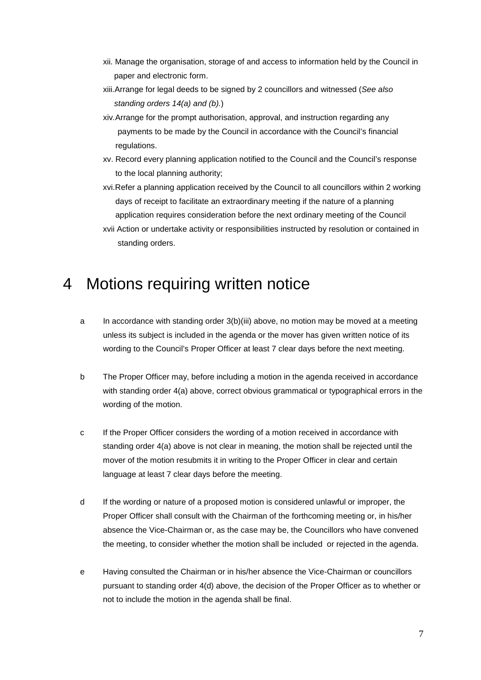- xii. Manage the organisation, storage of and access to information held by the Council in paper and electronic form.
- xiii.Arrange for legal deeds to be signed by 2 councillors and witnessed (*See also standing orders 14(a) and (b).*)
- xiv*.*Arrange for the prompt authorisation, approval, and instruction regarding any payments to be made by the Council in accordance with the Council's financial regulations.
- xv. Record every planning application notified to the Council and the Council's response to the local planning authority;
- xvi.Refer a planning application received by the Council to all councillors within 2 working days of receipt to facilitate an extraordinary meeting if the nature of a planning application requires consideration before the next ordinary meeting of the Council
- xvii Action or undertake activity or responsibilities instructed by resolution or contained in standing orders.

#### 4 Motions requiring written notice

- a In accordance with standing order 3(b)(iii) above, no motion may be moved at a meeting unless its subject is included in the agenda or the mover has given written notice of its wording to the Council's Proper Officer at least 7 clear days before the next meeting.
- b The Proper Officer may, before including a motion in the agenda received in accordance with standing order 4(a) above, correct obvious grammatical or typographical errors in the wording of the motion.
- c If the Proper Officer considers the wording of a motion received in accordance with standing order 4(a) above is not clear in meaning, the motion shall be rejected until the mover of the motion resubmits it in writing to the Proper Officer in clear and certain language at least 7 clear days before the meeting.
- d If the wording or nature of a proposed motion is considered unlawful or improper, the Proper Officer shall consult with the Chairman of the forthcoming meeting or, in his/her absence the Vice-Chairman or, as the case may be, the Councillors who have convened the meeting, to consider whether the motion shall be included or rejected in the agenda.
- e Having consulted the Chairman or in his/her absence the Vice-Chairman or councillors pursuant to standing order 4(d) above, the decision of the Proper Officer as to whether or not to include the motion in the agenda shall be final.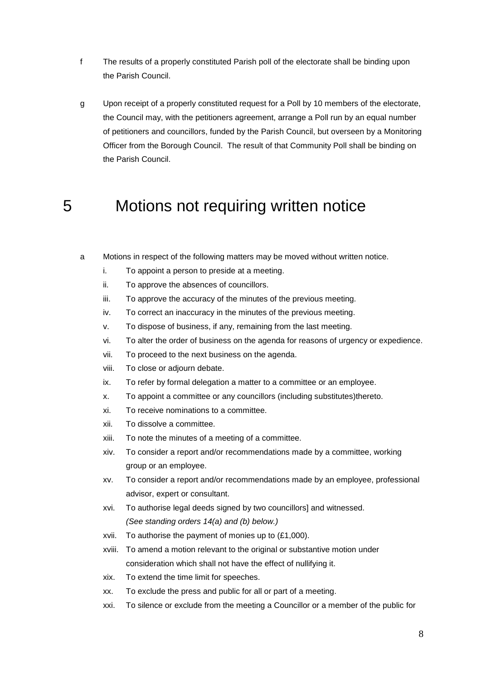- f The results of a properly constituted Parish poll of the electorate shall be binding upon the Parish Council.
- g Upon receipt of a properly constituted request for a Poll by 10 members of the electorate, the Council may, with the petitioners agreement, arrange a Poll run by an equal number of petitioners and councillors, funded by the Parish Council, but overseen by a Monitoring Officer from the Borough Council. The result of that Community Poll shall be binding on the Parish Council.

#### 5 Motions not requiring written notice

- a Motions in respect of the following matters may be moved without written notice.
	- i. To appoint a person to preside at a meeting.
	- ii. To approve the absences of councillors.
	- iii. To approve the accuracy of the minutes of the previous meeting.
	- iv. To correct an inaccuracy in the minutes of the previous meeting.
	- v. To dispose of business, if any, remaining from the last meeting.
	- vi. To alter the order of business on the agenda for reasons of urgency or expedience.
	- vii. To proceed to the next business on the agenda.
	- viii. To close or adjourn debate.
	- ix. To refer by formal delegation a matter to a committee or an employee.
	- x. To appoint a committee or any councillors (including substitutes)thereto.
	- xi. To receive nominations to a committee.
	- xii. To dissolve a committee.
	- xiii. To note the minutes of a meeting of a committee.
	- xiv. To consider a report and/or recommendations made by a committee, working group or an employee.
	- xv. To consider a report and/or recommendations made by an employee, professional advisor, expert or consultant.
	- xvi. To authorise legal deeds signed by two councillors] and witnessed. *(See standing orders 14(a) and (b) below.)*
	- xvii. To authorise the payment of monies up to (£1,000).
	- xviii. To amend a motion relevant to the original or substantive motion under consideration which shall not have the effect of nullifying it.
	- xix. To extend the time limit for speeches.
	- xx. To exclude the press and public for all or part of a meeting.
	- xxi. To silence or exclude from the meeting a Councillor or a member of the public for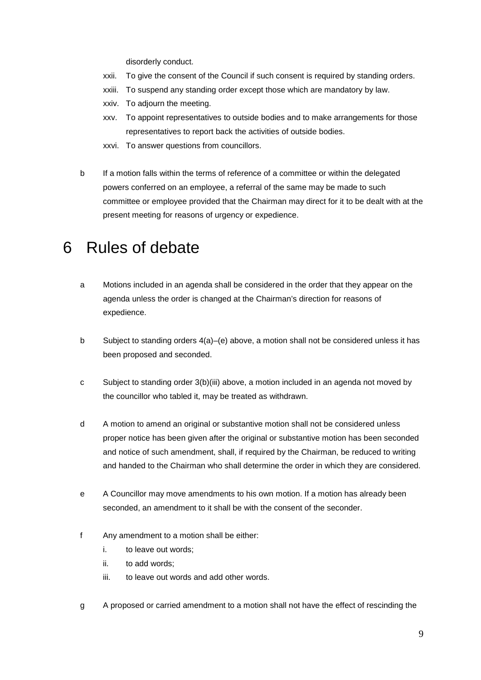disorderly conduct.

- xxii. To give the consent of the Council if such consent is required by standing orders.
- xxiii. To suspend any standing order except those which are mandatory by law.
- xxiv. To adjourn the meeting.
- xxv. To appoint representatives to outside bodies and to make arrangements for those representatives to report back the activities of outside bodies.
- xxvi. To answer questions from councillors.
- b If a motion falls within the terms of reference of a committee or within the delegated powers conferred on an employee, a referral of the same may be made to such committee or employee provided that the Chairman may direct for it to be dealt with at the present meeting for reasons of urgency or expedience.

#### 6 Rules of debate

- a Motions included in an agenda shall be considered in the order that they appear on the agenda unless the order is changed at the Chairman's direction for reasons of expedience.
- b Subject to standing orders 4(a)–(e) above, a motion shall not be considered unless it has been proposed and seconded.
- c Subject to standing order 3(b)(iii) above, a motion included in an agenda not moved by the councillor who tabled it, may be treated as withdrawn.
- d A motion to amend an original or substantive motion shall not be considered unless proper notice has been given after the original or substantive motion has been seconded and notice of such amendment, shall, if required by the Chairman, be reduced to writing and handed to the Chairman who shall determine the order in which they are considered.
- e A Councillor may move amendments to his own motion. If a motion has already been seconded, an amendment to it shall be with the consent of the seconder.
- f Any amendment to a motion shall be either:
	- i. to leave out words;
	- ii. to add words;
	- iii. to leave out words and add other words.
- g A proposed or carried amendment to a motion shall not have the effect of rescinding the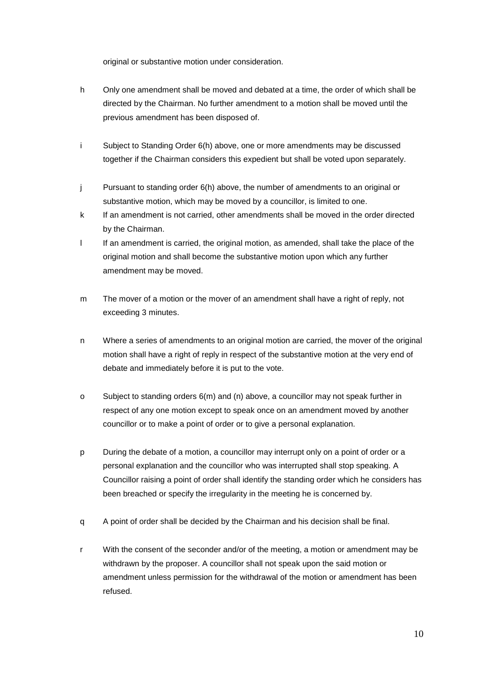original or substantive motion under consideration.

- h Only one amendment shall be moved and debated at a time, the order of which shall be directed by the Chairman. No further amendment to a motion shall be moved until the previous amendment has been disposed of.
- i Subject to Standing Order 6(h) above, one or more amendments may be discussed together if the Chairman considers this expedient but shall be voted upon separately.
- j Pursuant to standing order 6(h) above, the number of amendments to an original or substantive motion, which may be moved by a councillor, is limited to one.
- k If an amendment is not carried, other amendments shall be moved in the order directed by the Chairman.
- I If an amendment is carried, the original motion, as amended, shall take the place of the original motion and shall become the substantive motion upon which any further amendment may be moved.
- m The mover of a motion or the mover of an amendment shall have a right of reply, not exceeding 3 minutes.
- n Where a series of amendments to an original motion are carried, the mover of the original motion shall have a right of reply in respect of the substantive motion at the very end of debate and immediately before it is put to the vote.
- o Subject to standing orders 6(m) and (n) above, a councillor may not speak further in respect of any one motion except to speak once on an amendment moved by another councillor or to make a point of order or to give a personal explanation.
- p During the debate of a motion, a councillor may interrupt only on a point of order or a personal explanation and the councillor who was interrupted shall stop speaking. A Councillor raising a point of order shall identify the standing order which he considers has been breached or specify the irregularity in the meeting he is concerned by.
- q A point of order shall be decided by the Chairman and his decision shall be final.
- r With the consent of the seconder and/or of the meeting, a motion or amendment may be withdrawn by the proposer. A councillor shall not speak upon the said motion or amendment unless permission for the withdrawal of the motion or amendment has been refused.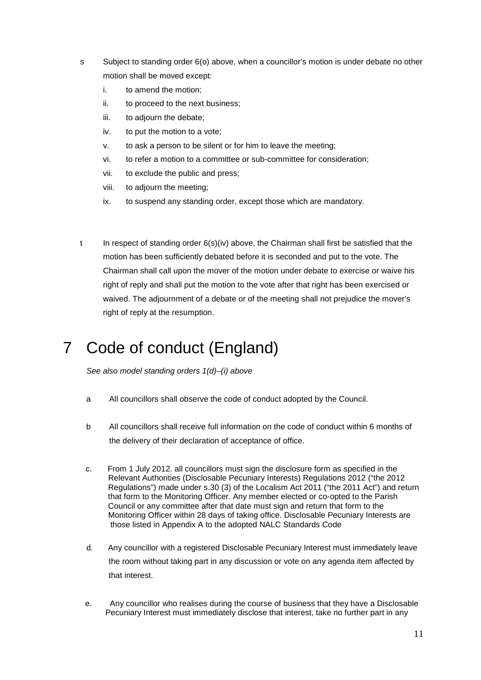- s Subject to standing order 6(o) above, when a councillor's motion is under debate no other motion shall be moved except:
	- i. to amend the motion;
	- ii. to proceed to the next business;
	- iii. to adjourn the debate;
	- iv. to put the motion to a vote;
	- v. to ask a person to be silent or for him to leave the meeting;
	- vi. to refer a motion to a committee or sub-committee for consideration;
	- vii. to exclude the public and press;
	- viii. to adjourn the meeting;
	- ix. to suspend any standing order, except those which are mandatory.
- t In respect of standing order 6(s)(iv) above, the Chairman shall first be satisfied that the motion has been sufficiently debated before it is seconded and put to the vote. The Chairman shall call upon the mover of the motion under debate to exercise or waive his right of reply and shall put the motion to the vote after that right has been exercised or waived. The adjournment of a debate or of the meeting shall not prejudice the mover's right of reply at the resumption.

# 7 Code of conduct (England)

*See also model standing orders 1(d)–(i) above* 

- a All councillors shall observe the code of conduct adopted by the Council.
- b All councillors shall receive full information on the code of conduct within 6 months of the delivery of their declaration of acceptance of office.
- c. From 1 July 2012. all councillors must sign the disclosure form as specified in the Relevant Authorities (Disclosable Pecuniary Interests) Regulations 2012 ("the 2012 Regulations") made under s.30 (3) of the Localism Act 2011 ("the 2011 Act") and return that form to the Monitoring Officer. Any member elected or co-opted to the Parish Council or any committee after that date must sign and return that form to the Monitoring Officer within 28 days of taking office. Disclosable Pecuniary Interests are those listed in Appendix A to the adopted NALC Standards Code
- d. Any councillor with a registered Disclosable Pecuniary Interest must immediately leave the room without taking part in any discussion or vote on any agenda item affected by that interest.
- e. Any councillor who realises during the course of business that they have a Disclosable Pecuniary Interest must immediately disclose that interest, take no further part in any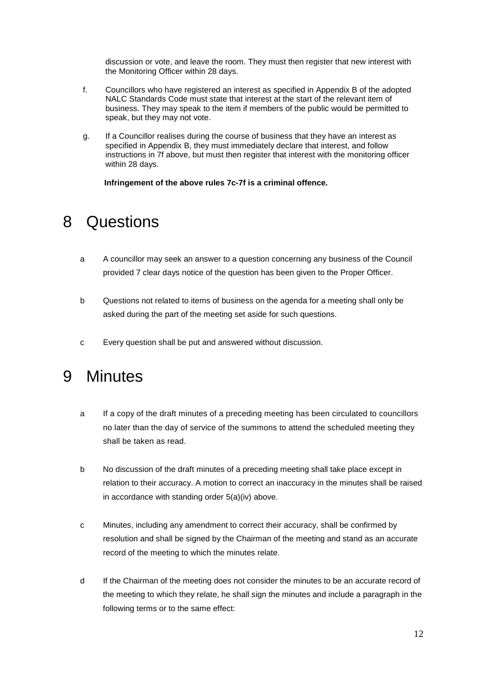discussion or vote, and leave the room. They must then register that new interest with the Monitoring Officer within 28 days.

- f. Councillors who have registered an interest as specified in Appendix B of the adopted NALC Standards Code must state that interest at the start of the relevant item of business. They may speak to the item if members of the public would be permitted to speak, but they may not vote.
- g. If a Councillor realises during the course of business that they have an interest as specified in Appendix B, they must immediately declare that interest, and follow instructions in 7f above, but must then register that interest with the monitoring officer within 28 days.

 **Infringement of the above rules 7c-7f is a criminal offence.**

#### 8 Questions

- a A councillor may seek an answer to a question concerning any business of the Council provided 7 clear days notice of the question has been given to the Proper Officer.
- b Questions not related to items of business on the agenda for a meeting shall only be asked during the part of the meeting set aside for such questions.
- c Every question shall be put and answered without discussion.

#### 9 Minutes

- a If a copy of the draft minutes of a preceding meeting has been circulated to councillors no later than the day of service of the summons to attend the scheduled meeting they shall be taken as read.
- b No discussion of the draft minutes of a preceding meeting shall take place except in relation to their accuracy. A motion to correct an inaccuracy in the minutes shall be raised in accordance with standing order 5(a)(iv) above.
- c Minutes, including any amendment to correct their accuracy, shall be confirmed by resolution and shall be signed by the Chairman of the meeting and stand as an accurate record of the meeting to which the minutes relate.
- d If the Chairman of the meeting does not consider the minutes to be an accurate record of the meeting to which they relate, he shall sign the minutes and include a paragraph in the following terms or to the same effect: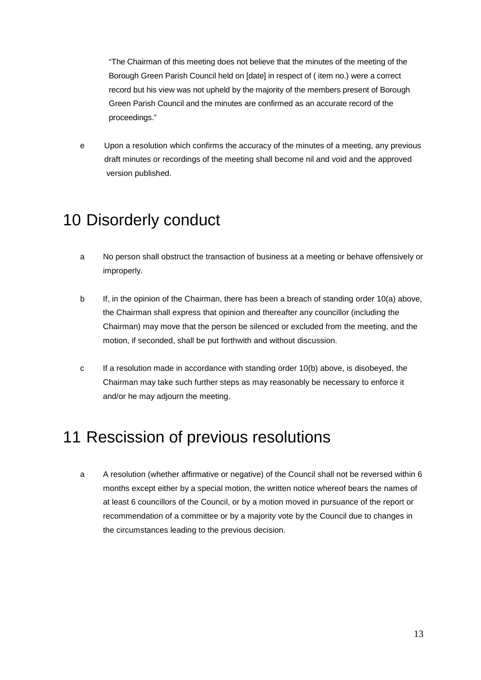"The Chairman of this meeting does not believe that the minutes of the meeting of the Borough Green Parish Council held on [date] in respect of ( item no.) were a correct record but his view was not upheld by the majority of the members present of Borough Green Parish Council and the minutes are confirmed as an accurate record of the proceedings."

e Upon a resolution which confirms the accuracy of the minutes of a meeting, any previous draft minutes or recordings of the meeting shall become nil and void and the approved version published.

#### 10 Disorderly conduct

- a No person shall obstruct the transaction of business at a meeting or behave offensively or improperly.
- b If, in the opinion of the Chairman, there has been a breach of standing order 10(a) above, the Chairman shall express that opinion and thereafter any councillor (including the Chairman) may move that the person be silenced or excluded from the meeting, and the motion, if seconded, shall be put forthwith and without discussion.
- c If a resolution made in accordance with standing order 10(b) above, is disobeyed, the Chairman may take such further steps as may reasonably be necessary to enforce it and/or he may adjourn the meeting.

## 11 Rescission of previous resolutions

a A resolution (whether affirmative or negative) of the Council shall not be reversed within 6 months except either by a special motion, the written notice whereof bears the names of at least 6 councillors of the Council, or by a motion moved in pursuance of the report or recommendation of a committee or by a majority vote by the Council due to changes in the circumstances leading to the previous decision.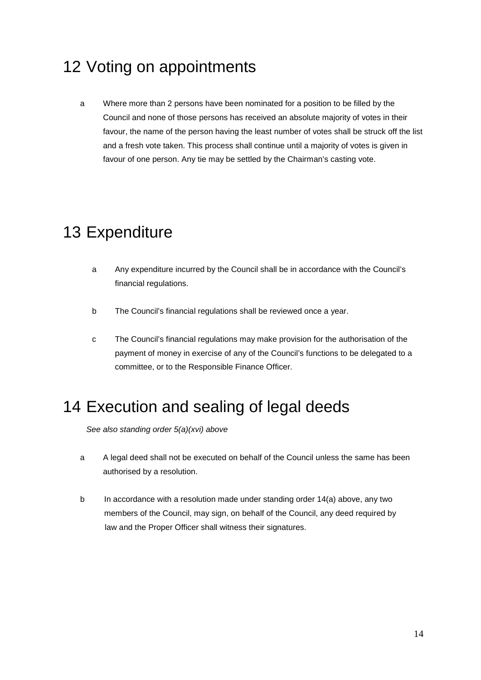# 12 Voting on appointments

a Where more than 2 persons have been nominated for a position to be filled by the Council and none of those persons has received an absolute majority of votes in their favour, the name of the person having the least number of votes shall be struck off the list and a fresh vote taken. This process shall continue until a majority of votes is given in favour of one person. Any tie may be settled by the Chairman's casting vote.

# 13 Expenditure

- a Any expenditure incurred by the Council shall be in accordance with the Council's financial regulations.
- b The Council's financial regulations shall be reviewed once a year.
- c The Council's financial regulations may make provision for the authorisation of the payment of money in exercise of any of the Council's functions to be delegated to a committee, or to the Responsible Finance Officer.

# 14 Execution and sealing of legal deeds

*See also standing order 5(a)(xvi) above*

- a A legal deed shall not be executed on behalf of the Council unless the same has been authorised by a resolution.
- b In accordance with a resolution made under standing order 14(a) above, any two members of the Council, may sign, on behalf of the Council, any deed required by law and the Proper Officer shall witness their signatures.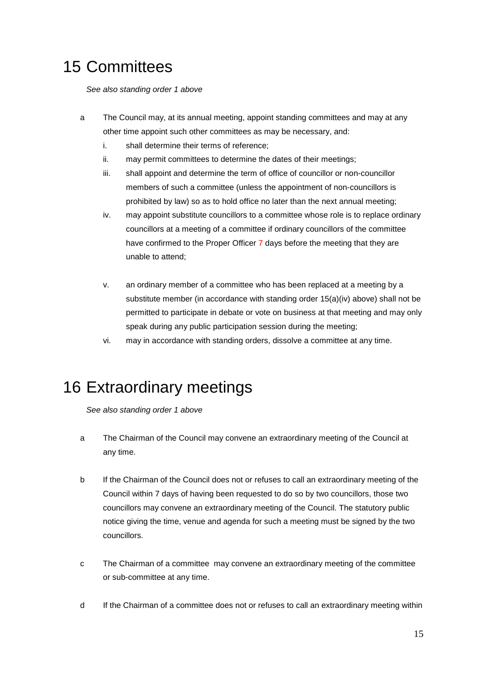# 15 Committees

*See also standing order 1 above* 

- a The Council may, at its annual meeting, appoint standing committees and may at any other time appoint such other committees as may be necessary, and:
	- i. shall determine their terms of reference;
	- ii. may permit committees to determine the dates of their meetings;
	- iii. shall appoint and determine the term of office of councillor or non-councillor members of such a committee (unless the appointment of non-councillors is prohibited by law) so as to hold office no later than the next annual meeting;
	- iv. may appoint substitute councillors to a committee whose role is to replace ordinary councillors at a meeting of a committee if ordinary councillors of the committee have confirmed to the Proper Officer 7 days before the meeting that they are unable to attend;
	- v. an ordinary member of a committee who has been replaced at a meeting by a substitute member (in accordance with standing order 15(a)(iv) above) shall not be permitted to participate in debate or vote on business at that meeting and may only speak during any public participation session during the meeting;
	- vi. may in accordance with standing orders, dissolve a committee at any time.

#### 16 Extraordinary meetings

*See also standing order 1 above*

- a The Chairman of the Council may convene an extraordinary meeting of the Council at any time.
- b If the Chairman of the Council does not or refuses to call an extraordinary meeting of the Council within 7 days of having been requested to do so by two councillors, those two councillors may convene an extraordinary meeting of the Council. The statutory public notice giving the time, venue and agenda for such a meeting must be signed by the two councillors.
- c The Chairman of a committee may convene an extraordinary meeting of the committee or sub-committee at any time.
- d If the Chairman of a committee does not or refuses to call an extraordinary meeting within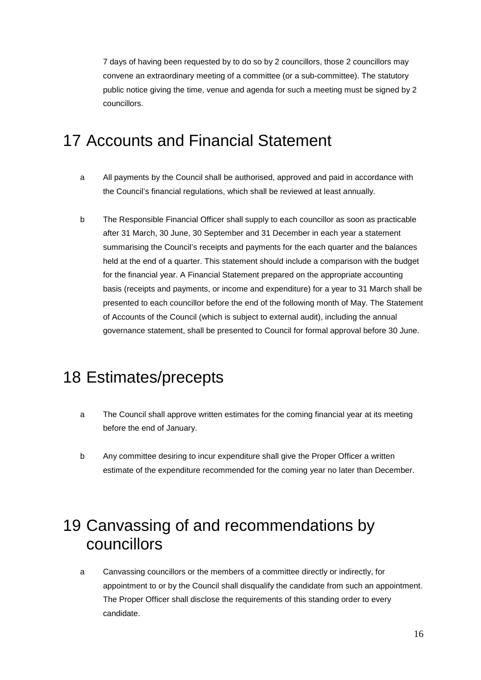7 days of having been requested by to do so by 2 councillors, those 2 councillors may convene an extraordinary meeting of a committee (or a sub-committee). The statutory public notice giving the time, venue and agenda for such a meeting must be signed by 2 councillors.

# 17 Accounts and Financial Statement

- a All payments by the Council shall be authorised, approved and paid in accordance with the Council's financial regulations, which shall be reviewed at least annually.
- b The Responsible Financial Officer shall supply to each councillor as soon as practicable after 31 March, 30 June, 30 September and 31 December in each year a statement summarising the Council's receipts and payments for the each quarter and the balances held at the end of a quarter. This statement should include a comparison with the budget for the financial year. A Financial Statement prepared on the appropriate accounting basis (receipts and payments, or income and expenditure) for a year to 31 March shall be presented to each councillor before the end of the following month of May. The Statement of Accounts of the Council (which is subject to external audit), including the annual governance statement, shall be presented to Council for formal approval before 30 June.

# 18 Estimates/precepts

- a The Council shall approve written estimates for the coming financial year at its meeting before the end of January.
- b Any committee desiring to incur expenditure shall give the Proper Officer a written estimate of the expenditure recommended for the coming year no later than December.

# 19 Canvassing of and recommendations by councillors

a Canvassing councillors or the members of a committee directly or indirectly, for appointment to or by the Council shall disqualify the candidate from such an appointment. The Proper Officer shall disclose the requirements of this standing order to every candidate.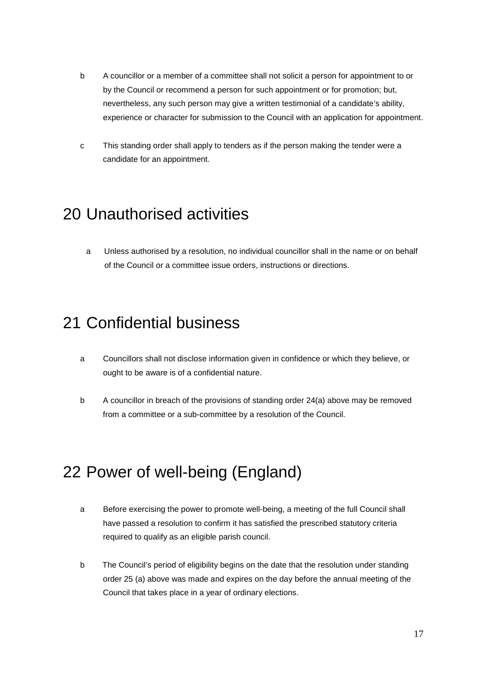- b A councillor or a member of a committee shall not solicit a person for appointment to or by the Council or recommend a person for such appointment or for promotion; but, nevertheless, any such person may give a written testimonial of a candidate's ability, experience or character for submission to the Council with an application for appointment.
- c This standing order shall apply to tenders as if the person making the tender were a candidate for an appointment.

# 20 Unauthorised activities

 a Unless authorised by a resolution, no individual councillor shall in the name or on behalf of the Council or a committee issue orders, instructions or directions.

# 21 Confidential business

- a Councillors shall not disclose information given in confidence or which they believe, or ought to be aware is of a confidential nature.
- b A councillor in breach of the provisions of standing order 24(a) above may be removed from a committee or a sub-committee by a resolution of the Council.

# 22 Power of well-being (England)

- a Before exercising the power to promote well-being, a meeting of the full Council shall have passed a resolution to confirm it has satisfied the prescribed statutory criteria required to qualify as an eligible parish council.
- b The Council's period of eligibility begins on the date that the resolution under standing order 25 (a) above was made and expires on the day before the annual meeting of the Council that takes place in a year of ordinary elections.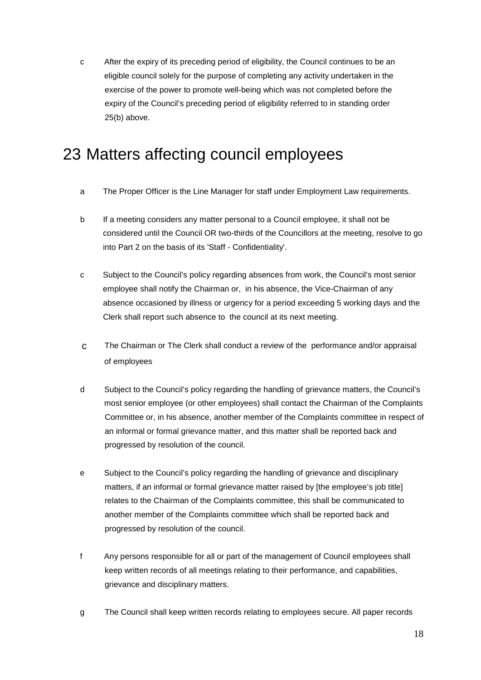c After the expiry of its preceding period of eligibility, the Council continues to be an eligible council solely for the purpose of completing any activity undertaken in the exercise of the power to promote well-being which was not completed before the expiry of the Council's preceding period of eligibility referred to in standing order 25(b) above.

# 23 Matters affecting council employees

- a The Proper Officer is the Line Manager for staff under Employment Law requirements.
- b If a meeting considers any matter personal to a Council employee, it shall not be considered until the Council OR two-thirds of the Councillors at the meeting, resolve to go into Part 2 on the basis of its 'Staff - Confidentiality'.
- c Subject to the Council's policy regarding absences from work, the Council's most senior employee shall notify the Chairman or, in his absence, the Vice-Chairman of any absence occasioned by illness or urgency for a period exceeding 5 working days and the Clerk shall report such absence to the council at its next meeting.
- c The Chairman or The Clerk shall conduct a review of the performance and/or appraisal of employees
- d Subject to the Council's policy regarding the handling of grievance matters, the Council's most senior employee (or other employees) shall contact the Chairman of the Complaints Committee or, in his absence, another member of the Complaints committee in respect of an informal or formal grievance matter, and this matter shall be reported back and progressed by resolution of the council.
- e Subject to the Council's policy regarding the handling of grievance and disciplinary matters, if an informal or formal grievance matter raised by [the employee's job title] relates to the Chairman of the Complaints committee, this shall be communicated to another member of the Complaints committee which shall be reported back and progressed by resolution of the council.
- f Any persons responsible for all or part of the management of Council employees shall keep written records of all meetings relating to their performance, and capabilities, grievance and disciplinary matters.
- g The Council shall keep written records relating to employees secure. All paper records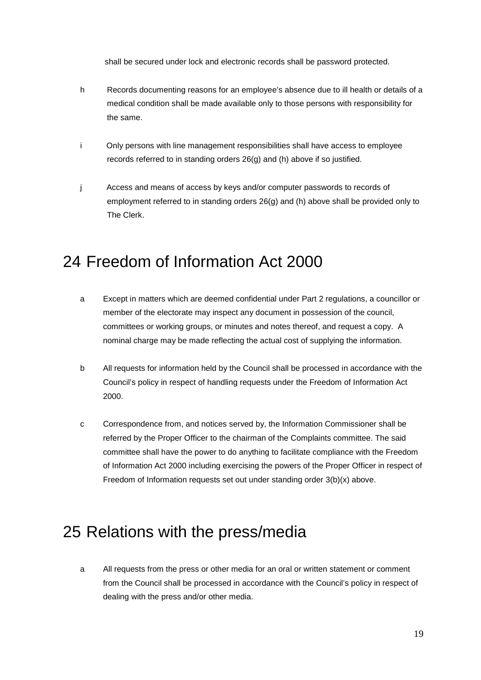shall be secured under lock and electronic records shall be password protected.

- h Records documenting reasons for an employee's absence due to ill health or details of a medical condition shall be made available only to those persons with responsibility for the same.
- i Only persons with line management responsibilities shall have access to employee records referred to in standing orders 26(g) and (h) above if so justified.
- j Access and means of access by keys and/or computer passwords to records of employment referred to in standing orders 26(g) and (h) above shall be provided only to The Clerk.

## 24 Freedom of Information Act 2000

- a Except in matters which are deemed confidential under Part 2 regulations, a councillor or member of the electorate may inspect any document in possession of the council, committees or working groups, or minutes and notes thereof, and request a copy. A nominal charge may be made reflecting the actual cost of supplying the information.
- b All requests for information held by the Council shall be processed in accordance with the Council's policy in respect of handling requests under the Freedom of Information Act 2000.
- c Correspondence from, and notices served by, the Information Commissioner shall be referred by the Proper Officer to the chairman of the Complaints committee. The said committee shall have the power to do anything to facilitate compliance with the Freedom of Information Act 2000 including exercising the powers of the Proper Officer in respect of Freedom of Information requests set out under standing order 3(b)(x) above.

#### 25 Relations with the press/media

a All requests from the press or other media for an oral or written statement or comment from the Council shall be processed in accordance with the Council's policy in respect of dealing with the press and/or other media.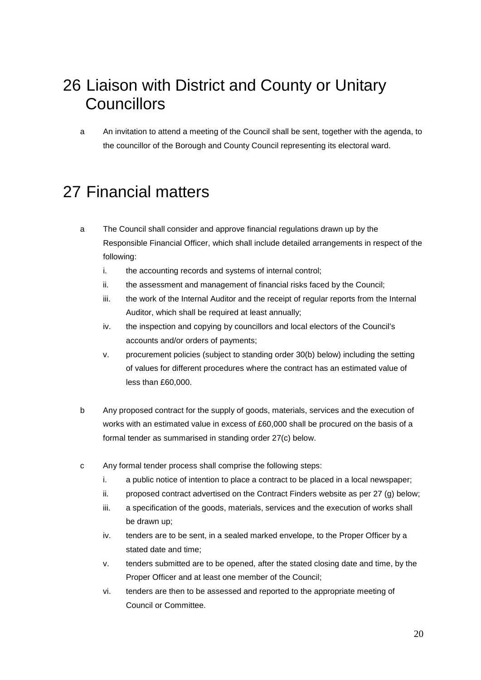# 26 Liaison with District and County or Unitary **Councillors**

a An invitation to attend a meeting of the Council shall be sent, together with the agenda, to the councillor of the Borough and County Council representing its electoral ward.

# 27 Financial matters

- a The Council shall consider and approve financial regulations drawn up by the Responsible Financial Officer, which shall include detailed arrangements in respect of the following:
	- i. the accounting records and systems of internal control;
	- ii. the assessment and management of financial risks faced by the Council;
	- iii. the work of the Internal Auditor and the receipt of regular reports from the Internal Auditor, which shall be required at least annually;
	- iv. the inspection and copying by councillors and local electors of the Council's accounts and/or orders of payments;
	- v. procurement policies (subject to standing order 30(b) below) including the setting of values for different procedures where the contract has an estimated value of less than £60,000.
- b Any proposed contract for the supply of goods, materials, services and the execution of works with an estimated value in excess of £60,000 shall be procured on the basis of a formal tender as summarised in standing order 27(c) below.
- c Any formal tender process shall comprise the following steps:
	- i. a public notice of intention to place a contract to be placed in a local newspaper;
	- ii. proposed contract advertised on the Contract Finders website as per 27 (g) below;
	- iii. a specification of the goods, materials, services and the execution of works shall be drawn up;
	- iv. tenders are to be sent, in a sealed marked envelope, to the Proper Officer by a stated date and time;
	- v. tenders submitted are to be opened, after the stated closing date and time, by the Proper Officer and at least one member of the Council;
	- vi. tenders are then to be assessed and reported to the appropriate meeting of Council or Committee.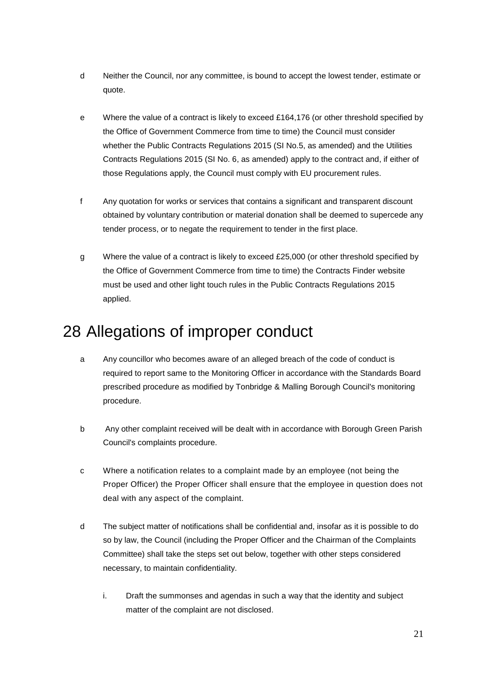- d Neither the Council, nor any committee, is bound to accept the lowest tender, estimate or quote.
- e Where the value of a contract is likely to exceed £164,176 (or other threshold specified by the Office of Government Commerce from time to time) the Council must consider whether the Public Contracts Regulations 2015 (SI No.5, as amended) and the Utilities Contracts Regulations 2015 (SI No. 6, as amended) apply to the contract and, if either of those Regulations apply, the Council must comply with EU procurement rules.
- f Any quotation for works or services that contains a significant and transparent discount obtained by voluntary contribution or material donation shall be deemed to supercede any tender process, or to negate the requirement to tender in the first place.
- g Where the value of a contract is likely to exceed £25,000 (or other threshold specified by the Office of Government Commerce from time to time) the Contracts Finder website must be used and other light touch rules in the Public Contracts Regulations 2015 applied.

# 28 Allegations of improper conduct

- a Any councillor who becomes aware of an alleged breach of the code of conduct is required to report same to the Monitoring Officer in accordance with the Standards Board prescribed procedure as modified by Tonbridge & Malling Borough Council's monitoring procedure.
- b Any other complaint received will be dealt with in accordance with Borough Green Parish Council's complaints procedure.
- c Where a notification relates to a complaint made by an employee (not being the Proper Officer) the Proper Officer shall ensure that the employee in question does not deal with any aspect of the complaint.
- d The subject matter of notifications shall be confidential and, insofar as it is possible to do so by law, the Council (including the Proper Officer and the Chairman of the Complaints Committee) shall take the steps set out below, together with other steps considered necessary, to maintain confidentiality.
	- i. Draft the summonses and agendas in such a way that the identity and subject matter of the complaint are not disclosed.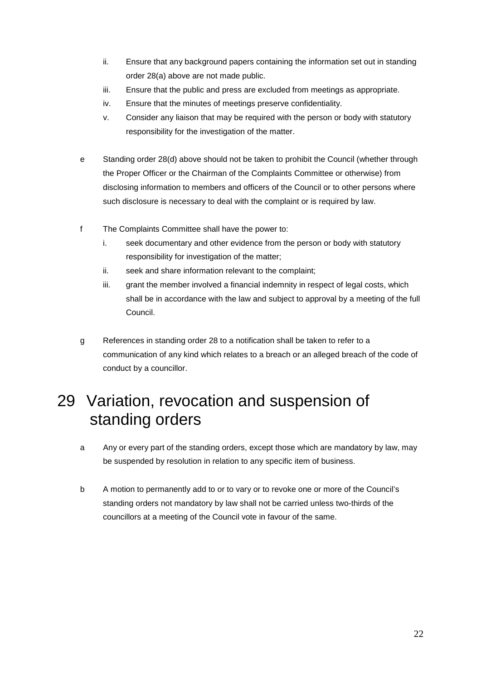- ii. Ensure that any background papers containing the information set out in standing order 28(a) above are not made public.
- iii. Ensure that the public and press are excluded from meetings as appropriate.
- iv. Ensure that the minutes of meetings preserve confidentiality.
- v. Consider any liaison that may be required with the person or body with statutory responsibility for the investigation of the matter.
- e Standing order 28(d) above should not be taken to prohibit the Council (whether through the Proper Officer or the Chairman of the Complaints Committee or otherwise) from disclosing information to members and officers of the Council or to other persons where such disclosure is necessary to deal with the complaint or is required by law.
- f The Complaints Committee shall have the power to:
	- i. seek documentary and other evidence from the person or body with statutory responsibility for investigation of the matter;
	- ii. seek and share information relevant to the complaint;
	- iii. grant the member involved a financial indemnity in respect of legal costs, which shall be in accordance with the law and subject to approval by a meeting of the full Council.
- g References in standing order 28 to a notification shall be taken to refer to a communication of any kind which relates to a breach or an alleged breach of the code of conduct by a councillor.

# 29 Variation, revocation and suspension of standing orders

- a Any or every part of the standing orders, except those which are mandatory by law, may be suspended by resolution in relation to any specific item of business.
- b A motion to permanently add to or to vary or to revoke one or more of the Council's standing orders not mandatory by law shall not be carried unless two-thirds of the councillors at a meeting of the Council vote in favour of the same.